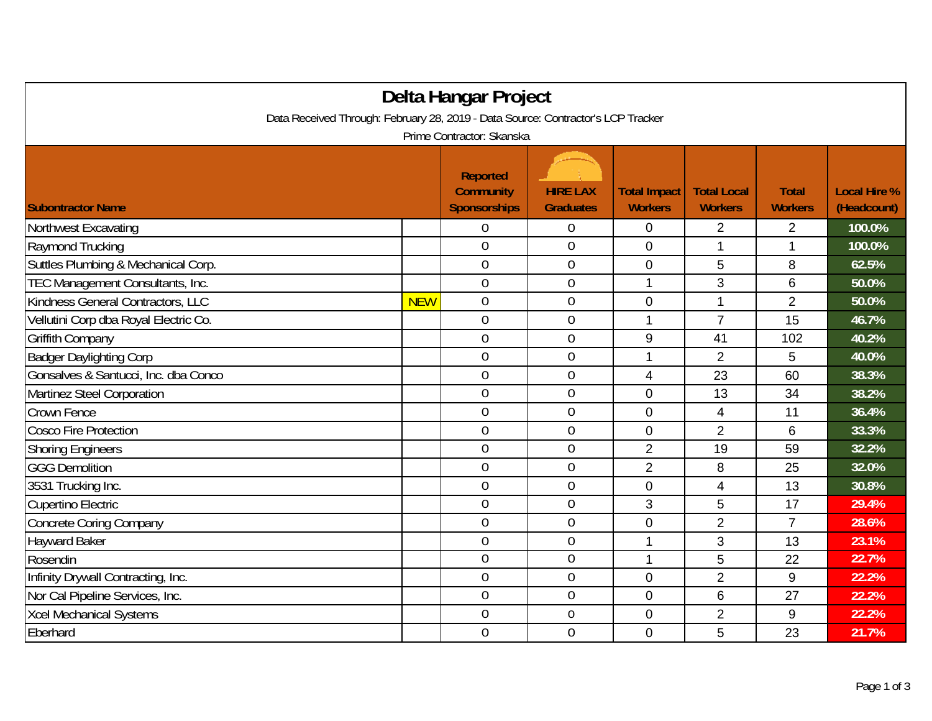| Delta Hangar Project                                                             |            |                                                            |                                     |                                       |                                      |                                |                                    |  |  |
|----------------------------------------------------------------------------------|------------|------------------------------------------------------------|-------------------------------------|---------------------------------------|--------------------------------------|--------------------------------|------------------------------------|--|--|
| Data Received Through: February 28, 2019 - Data Source: Contractor's LCP Tracker |            |                                                            |                                     |                                       |                                      |                                |                                    |  |  |
| Prime Contractor: Skanska                                                        |            |                                                            |                                     |                                       |                                      |                                |                                    |  |  |
| <b>Subontractor Name</b>                                                         |            | <b>Reported</b><br><b>Community</b><br><b>Sponsorships</b> | <b>HIRE LAX</b><br><b>Graduates</b> | <b>Total Impact</b><br><b>Workers</b> | <b>Total Local</b><br><b>Workers</b> | <b>Total</b><br><b>Workers</b> | <b>Local Hire %</b><br>(Headcount) |  |  |
| Northwest Excavating                                                             |            | 0                                                          | 0                                   | 0                                     | $\overline{2}$                       | $\overline{2}$                 | 100.0%                             |  |  |
| Raymond Trucking                                                                 |            | $\overline{0}$                                             | $\mathbf 0$                         | 0                                     | 1                                    | $\mathbf{1}$                   | 100.0%                             |  |  |
| Suttles Plumbing & Mechanical Corp.                                              |            | $\overline{0}$                                             | $\mathbf 0$                         | $\overline{0}$                        | 5                                    | 8                              | 62.5%                              |  |  |
| TEC Management Consultants, Inc.                                                 |            | $\overline{0}$                                             | $\mathbf 0$                         | 1                                     | 3                                    | 6                              | 50.0%                              |  |  |
| Kindness General Contractors, LLC                                                | <b>NEW</b> | $\overline{0}$                                             | $\overline{0}$                      | 0                                     |                                      | $\overline{2}$                 | 50.0%                              |  |  |
| Vellutini Corp dba Royal Electric Co.                                            |            | $\overline{0}$                                             | $\mathbf 0$                         | 1                                     | $\overline{7}$                       | 15                             | 46.7%                              |  |  |
| <b>Griffith Company</b>                                                          |            | $\mathbf 0$                                                | $\boldsymbol{0}$                    | 9                                     | 41                                   | 102                            | 40.2%                              |  |  |
| <b>Badger Daylighting Corp</b>                                                   |            | $\mathbf 0$                                                | $\mathbf 0$                         | 1                                     | $\overline{2}$                       | 5                              | 40.0%                              |  |  |
| Gonsalves & Santucci, Inc. dba Conco                                             |            | $\mathbf 0$                                                | $\overline{0}$                      | 4                                     | 23                                   | 60                             | 38.3%                              |  |  |
| Martinez Steel Corporation                                                       |            | $\mathbf 0$                                                | $\boldsymbol{0}$                    | 0                                     | 13                                   | 34                             | 38.2%                              |  |  |
| Crown Fence                                                                      |            | $\overline{0}$                                             | $\mathbf 0$                         | 0                                     | 4                                    | 11                             | 36.4%                              |  |  |
| <b>Cosco Fire Protection</b>                                                     |            | $\overline{0}$                                             | $\boldsymbol{0}$                    | $\mathbf 0$                           | $\overline{2}$                       | 6                              | 33.3%                              |  |  |
| <b>Shoring Engineers</b>                                                         |            | $\overline{0}$                                             | $\overline{0}$                      | $\overline{2}$                        | 19                                   | 59                             | 32.2%                              |  |  |
| <b>GGG Demolition</b>                                                            |            | $\theta$                                                   | $\boldsymbol{0}$                    | $\overline{2}$                        | 8                                    | 25                             | 32.0%                              |  |  |
| 3531 Trucking Inc.                                                               |            | $\overline{0}$                                             | $\mathbf 0$                         | 0                                     | 4                                    | 13                             | 30.8%                              |  |  |
| <b>Cupertino Electric</b>                                                        |            | $\overline{0}$                                             | $\boldsymbol{0}$                    | 3                                     | 5                                    | 17                             | 29.4%                              |  |  |
| <b>Concrete Coring Company</b>                                                   |            | $\overline{0}$                                             | $\mathbf 0$                         | $\overline{0}$                        | $\overline{2}$                       | $\overline{7}$                 | 28.6%                              |  |  |
| <b>Hayward Baker</b>                                                             |            | $\boldsymbol{0}$                                           | $\mathbf 0$                         | 1                                     | 3                                    | 13                             | 23.1%                              |  |  |
| Rosendin                                                                         |            | $\overline{0}$                                             | $\mathbf 0$                         | 1                                     | 5                                    | 22                             | 22.7%                              |  |  |
| Infinity Drywall Contracting, Inc.                                               |            | $\overline{0}$                                             | $\mathbf 0$                         | 0                                     | $\overline{2}$                       | 9                              | 22.2%                              |  |  |
| Nor Cal Pipeline Services, Inc.                                                  |            | $\overline{0}$                                             | $\mathbf 0$                         | $\overline{0}$                        | 6                                    | 27                             | 22.2%                              |  |  |
| <b>Xcel Mechanical Systems</b>                                                   |            | $\overline{0}$                                             | $\boldsymbol{0}$                    | 0                                     | $\overline{2}$                       | 9                              | 22.2%                              |  |  |
| Eberhard                                                                         |            | $\overline{0}$                                             | $\mathbf 0$                         | $\overline{0}$                        | 5                                    | 23                             | 21.7%                              |  |  |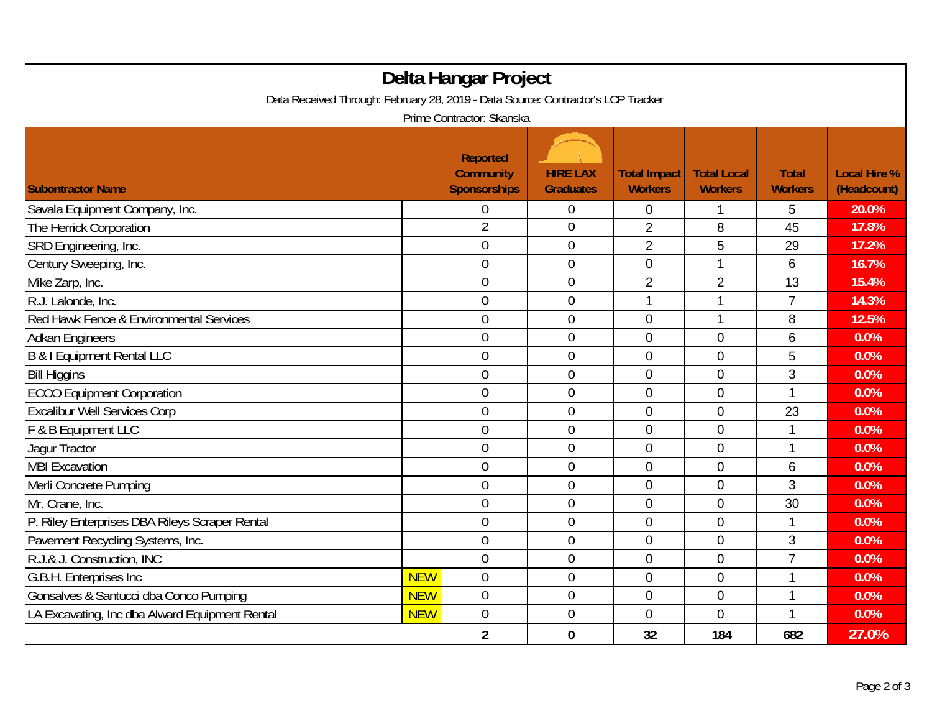| Delta Hangar Project                                                             |            |                                                            |                                     |                                       |                                      |                                |                                    |  |
|----------------------------------------------------------------------------------|------------|------------------------------------------------------------|-------------------------------------|---------------------------------------|--------------------------------------|--------------------------------|------------------------------------|--|
| Data Received Through: February 28, 2019 - Data Source: Contractor's LCP Tracker |            |                                                            |                                     |                                       |                                      |                                |                                    |  |
| Prime Contractor: Skanska                                                        |            |                                                            |                                     |                                       |                                      |                                |                                    |  |
| <b>Subontractor Name</b>                                                         |            | <b>Reported</b><br><b>Community</b><br><b>Sponsorships</b> | <b>HIRE LAX</b><br><b>Graduates</b> | <b>Total Impact</b><br><b>Workers</b> | <b>Total Local</b><br><b>Workers</b> | <b>Total</b><br><b>Workers</b> | <b>Local Hire %</b><br>(Headcount) |  |
| Savala Equipment Company, Inc.                                                   |            | $\mathbf 0$                                                | $\mathbf 0$                         | 0                                     | 1                                    |                                | 20.0%                              |  |
| The Herrick Corporation                                                          |            | $\overline{2}$                                             | $\mathbf 0$                         | $\overline{2}$                        | 8                                    | 5<br>45                        | 17.8%                              |  |
| SRD Engineering, Inc.                                                            |            | $\overline{0}$                                             | $\mathbf 0$                         | $\overline{2}$                        | 5                                    | 29                             | 17.2%                              |  |
| Century Sweeping, Inc.                                                           |            | $\mathbf 0$                                                | $\boldsymbol{0}$                    | 0                                     | 1                                    | 6                              | 16.7%                              |  |
| Mike Zarp, Inc.                                                                  |            | $\overline{0}$                                             | $\mathbf 0$                         | $\overline{2}$                        | $\overline{2}$                       | 13                             | 15.4%                              |  |
| R.J. Lalonde, Inc.                                                               |            | $\overline{0}$                                             | $\mathbf 0$                         | 1                                     | 1                                    | $\overline{7}$                 | 14.3%                              |  |
| Red Hawk Fence & Environmental Services                                          |            | $\overline{0}$                                             | $\mathbf 0$                         | 0                                     | 1                                    | 8                              | 12.5%                              |  |
| <b>Adkan Engineers</b>                                                           |            | $\overline{0}$                                             | $\mathbf 0$                         | 0                                     | $\mathbf 0$                          | 6                              | 0.0%                               |  |
| <b>B &amp; I Equipment Rental LLC</b>                                            |            | $\overline{0}$                                             | $\mathbf 0$                         | 0                                     | $\mathbf 0$                          | 5                              | 0.0%                               |  |
| <b>Bill Higgins</b>                                                              |            | $\mathbf 0$                                                | $\mathbf 0$                         | 0                                     | $\overline{0}$                       | 3                              | 0.0%                               |  |
| <b>ECCO Equipment Corporation</b>                                                |            | $\mathbf 0$                                                | $\overline{0}$                      | $\mathbf 0$                           | $\overline{0}$                       | $\mathbf{1}$                   | 0.0%                               |  |
| <b>Excalibur Well Services Corp</b>                                              |            | $\overline{0}$                                             | $\overline{0}$                      | 0                                     | $\overline{0}$                       | 23                             | 0.0%                               |  |
| F & B Equipment LLC                                                              |            | $\overline{0}$                                             | $\overline{0}$                      | 0                                     | $\Omega$                             | 1                              | 0.0%                               |  |
| Jagur Tractor                                                                    |            | $\mathbf 0$                                                | $\overline{0}$                      | 0                                     | $\mathbf 0$                          | $\mathbf{1}$                   | 0.0%                               |  |
| <b>MBI Excavation</b>                                                            |            | $\overline{0}$                                             | $\mathbf 0$                         | 0                                     | $\mathbf 0$                          | 6                              | 0.0%                               |  |
| Merli Concrete Pumping                                                           |            | $\overline{0}$                                             | $\boldsymbol{0}$                    | $\mathbf 0$                           | $\mathbf 0$                          | 3                              | 0.0%                               |  |
| Mr. Crane, Inc.                                                                  |            | $\mathbf 0$                                                | $\mathbf 0$                         | $\overline{0}$                        | $\mathbf{0}$                         | 30                             | 0.0%                               |  |
| P. Riley Enterprises DBA Rileys Scraper Rental                                   |            | $\overline{0}$                                             | $\theta$                            | 0                                     | $\overline{0}$                       | 1                              | 0.0%                               |  |
| Pavement Recycling Systems, Inc.                                                 |            | $\overline{0}$                                             | $\overline{0}$                      | 0                                     | $\mathbf 0$                          | 3                              | 0.0%                               |  |
| R.J.& J. Construction, INC                                                       |            | $\mathbf 0$                                                | $\mathbf 0$                         | 0                                     | $\overline{0}$                       | $\overline{7}$                 | 0.0%                               |  |
| G.B.H. Enterprises Inc                                                           | <b>NEW</b> | $\mathbf 0$                                                | $\boldsymbol{0}$                    | 0                                     | $\mathbf 0$                          | 1                              | 0.0%                               |  |
| Gonsalves & Santucci dba Conco Pumping                                           | <b>NEW</b> | $\overline{0}$                                             | $\theta$                            | $\mathbf 0$                           | $\mathbf 0$                          | $\mathbf{1}$                   | 0.0%                               |  |
| LA Excavating, Inc dba Alward Equipment Rental                                   | <b>NEW</b> | $\overline{0}$                                             | $\mathbf 0$                         | 0                                     | $\Omega$                             | $\mathbf{1}$                   | 0.0%                               |  |
|                                                                                  |            | $\overline{2}$                                             | $\bf{0}$                            | 32                                    | 184                                  | 682                            | 27.0%                              |  |